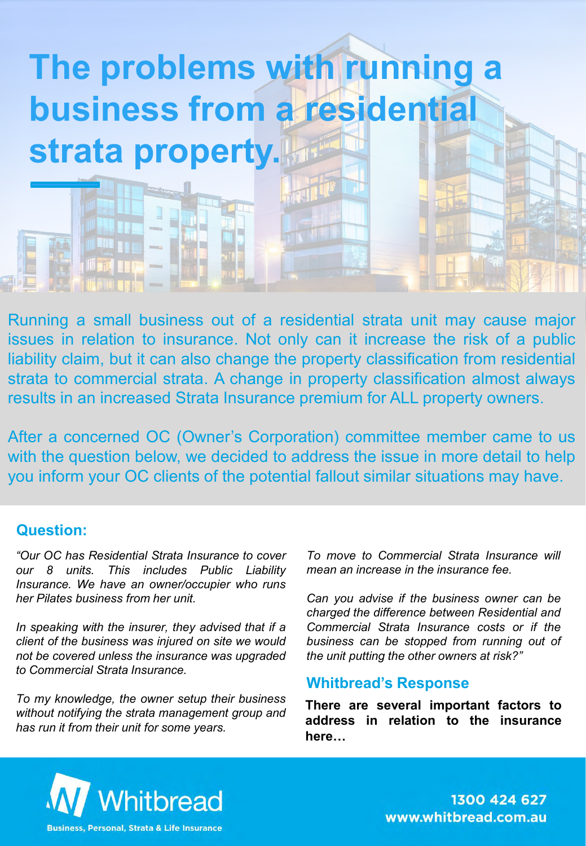

Running a small business out of a residential strata unit may cause major issues in relation to insurance. Not only can it increase the risk of a public liability claim, but it can also change the property classification from residential strata to commercial strata. A change in property classification almost always results in an increased Strata Insurance premium for ALL property owners.

After a concerned OC (Owner's Corporation) committee member came to us with the question below, we decided to address the issue in more detail to help you inform your OC clients of the potential fallout similar situations may have.

### **Question:**

*"Our OC has Residential Strata Insurance to cover our 8 units. This includes Public Liability Insurance. We have an owner/occupier who runs her Pilates business from her unit.*

*In speaking with the insurer, they advised that if a client of the business was injured on site we would not be covered unless the insurance was upgraded to Commercial Strata Insurance.*

*To my knowledge, the owner setup their business without notifying the strata management group and has run it from their unit for some years.*

*To move to Commercial Strata Insurance will mean an increase in the insurance fee.*

*Can you advise if the business owner can be charged the difference between Residential and Commercial Strata Insurance costs or if the business can be stopped from running out of the unit putting the other owners at risk?"*

#### **Whitbread's Response**

**There are several important factors to address in relation to the insurance here…**



1300 424 627 www.whitbread.com.au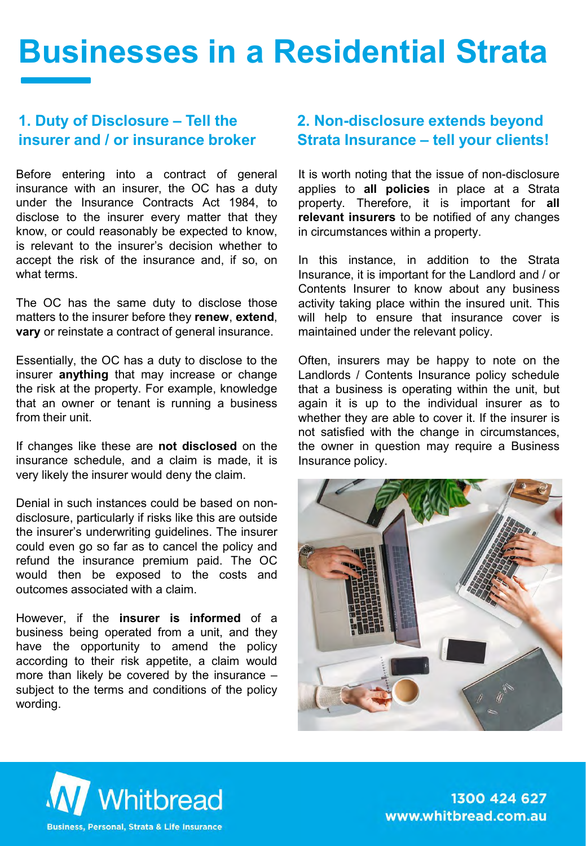# **Businesses in a Residential Strata**

### **1. Duty of Disclosure – Tell the insurer and / or insurance broker**

Before entering into a contract of general insurance with an insurer, the OC has a duty under the Insurance Contracts Act 1984, to disclose to the insurer every matter that they know, or could reasonably be expected to know, is relevant to the insurer's decision whether to accept the risk of the insurance and, if so, on what terms.

The OC has the same duty to disclose those matters to the insurer before they **renew**, **extend**, **vary** or reinstate a contract of general insurance.

Essentially, the OC has a duty to disclose to the insurer **anything** that may increase or change the risk at the property. For example, knowledge that an owner or tenant is running a business from their unit.

If changes like these are **not disclosed** on the insurance schedule, and a claim is made, it is very likely the insurer would deny the claim.

Denial in such instances could be based on nondisclosure, particularly if risks like this are outside the insurer's underwriting guidelines. The insurer could even go so far as to cancel the policy and refund the insurance premium paid. The OC would then be exposed to the costs and outcomes associated with a claim.

However, if the **insurer is informed** of a business being operated from a unit, and they have the opportunity to amend the policy according to their risk appetite, a claim would more than likely be covered by the insurance – subject to the terms and conditions of the policy wording.

# **2. Non-disclosure extends beyond Strata Insurance – tell your clients!**

It is worth noting that the issue of non-disclosure applies to **all policies** in place at a Strata property. Therefore, it is important for **all relevant insurers** to be notified of any changes in circumstances within a property.

In this instance, in addition to the Strata Insurance, it is important for the Landlord and / or Contents Insurer to know about any business activity taking place within the insured unit. This will help to ensure that insurance cover is maintained under the relevant policy.

Often, insurers may be happy to note on the Landlords / Contents Insurance policy schedule that a business is operating within the unit, but again it is up to the individual insurer as to whether they are able to cover it. If the insurer is not satisfied with the change in circumstances, the owner in question may require a Business Insurance policy.





1300 424 627 www.whitbread.com.au